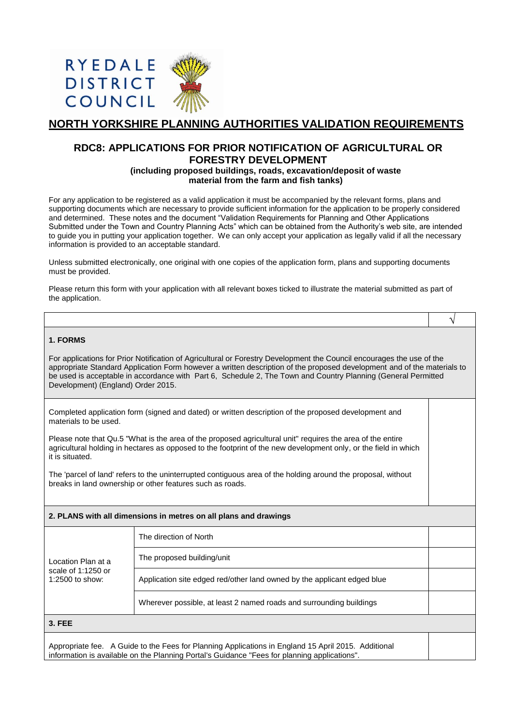

# **NORTH YORKSHIRE PLANNING AUTHORITIES VALIDATION REQUIREMENTS**

# **RDC8: APPLICATIONS FOR PRIOR NOTIFICATION OF AGRICULTURAL OR FORESTRY DEVELOPMENT**

## **(including proposed buildings, roads, excavation/deposit of waste material from the farm and fish tanks)**

For any application to be registered as a valid application it must be accompanied by the relevant forms, plans and supporting documents which are necessary to provide sufficient information for the application to be properly considered and determined. These notes and the document "Validation Requirements for Planning and Other Applications Submitted under the Town and Country Planning Acts" which can be obtained from the Authority's web site, are intended to guide you in putting your application together. We can only accept your application as legally valid if all the necessary information is provided to an acceptable standard.

Unless submitted electronically, one original with one copies of the application form, plans and supporting documents must be provided.

Please return this form with your application with all relevant boxes ticked to illustrate the material submitted as part of the application.

### **1. FORMS**

For applications for Prior Notification of Agricultural or Forestry Development the Council encourages the use of the appropriate Standard Application Form however a written description of the proposed development and of the materials to be used is acceptable in accordance with Part 6, Schedule 2, The Town and Country Planning (General Permitted Development) (England) Order 2015.

√

Completed application form (signed and dated) or written description of the proposed development and materials to be used.

Please note that Qu.5 "What is the area of the proposed agricultural unit" requires the area of the entire agricultural holding in hectares as opposed to the footprint of the new development only, or the field in which it is situated.

The 'parcel of land' refers to the uninterrupted contiguous area of the holding around the proposal, without breaks in land ownership or other features such as roads.

### **2. PLANS with all dimensions in metres on all plans and drawings**

| Location Plan at a<br>scale of $1:1250$ or<br>$1:2500$ to show:                                     | The direction of North                                                  |  |  |
|-----------------------------------------------------------------------------------------------------|-------------------------------------------------------------------------|--|--|
|                                                                                                     | The proposed building/unit                                              |  |  |
|                                                                                                     | Application site edged red/other land owned by the applicant edged blue |  |  |
|                                                                                                     | Wherever possible, at least 2 named roads and surrounding buildings     |  |  |
| <b>3. FEE</b>                                                                                       |                                                                         |  |  |
| Appropriate fee. A Guide to the Fees for Planning Applications in England 15 April 2015. Additional |                                                                         |  |  |

information is available on the Planning Portal's Guidance "Fees for planning applications".